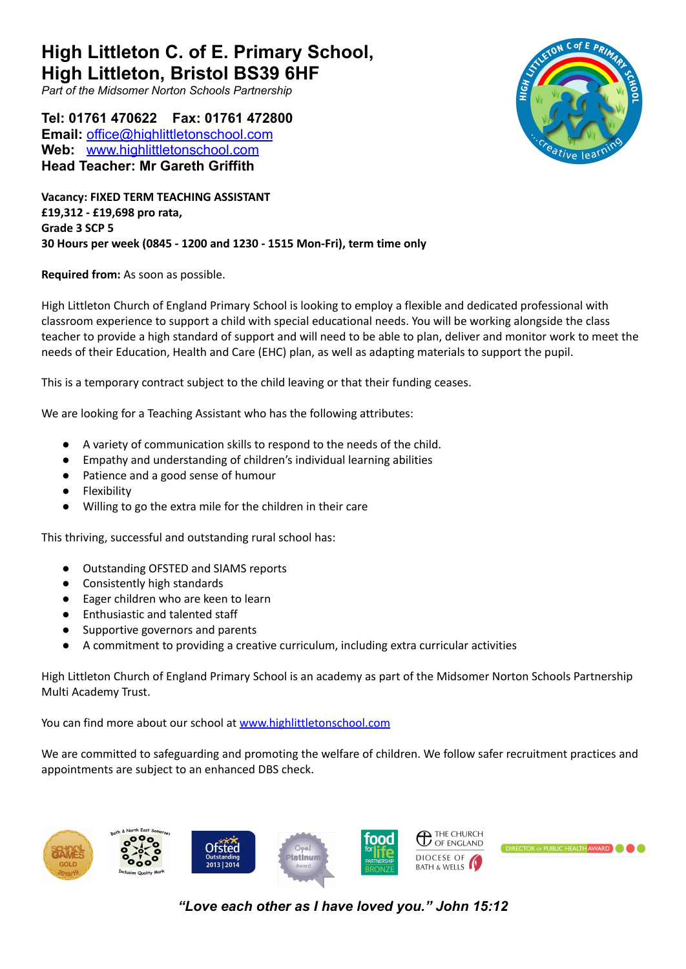**High Littleton C. of E. Primary School, High Littleton, Bristol BS39 6HF**

*Part of the Midsomer Norton Schools Partnership*

**Tel: 01761 470622 Fax: 01761 472800 Email:** [office@highlittletonschool.com](mailto:office@highlittletonschool.com) **Web:** [www.highlittletonschool.com](http://www.highlittleton.bathnes.sch.uk) **Head Teacher: Mr Gareth Griffith**

**Vacancy: FIXED TERM TEACHING ASSISTANT £19,312 - £19,698 pro rata, Grade 3 SCP 5 30 Hours per week (0845 - 1200 and 1230 - 1515 Mon-Fri), term time only**

## **Required from:** As soon as possible.

High Littleton Church of England Primary School is looking to employ a flexible and dedicated professional with classroom experience to support a child with special educational needs. You will be working alongside the class teacher to provide a high standard of support and will need to be able to plan, deliver and monitor work to meet the needs of their Education, Health and Care (EHC) plan, as well as adapting materials to support the pupil.

This is a temporary contract subject to the child leaving or that their funding ceases.

We are looking for a Teaching Assistant who has the following attributes:

- A variety of communication skills to respond to the needs of the child.
- Empathy and understanding of children's individual learning abilities
- Patience and a good sense of humour
- Flexibility
- Willing to go the extra mile for the children in their care

This thriving, successful and outstanding rural school has:

- Outstanding OFSTED and SIAMS reports
- Consistently high standards
- Eager children who are keen to learn
- Enthusiastic and talented staff
- Supportive governors and parents
- A commitment to providing a creative curriculum, including extra curricular activities

High Littleton Church of England Primary School is an academy as part of the Midsomer Norton Schools Partnership Multi Academy Trust.

You can find more about our school at [www.highlittletonschool.com](http://www.highlittletonschool.com)

We are committed to safeguarding and promoting the welfare of children. We follow safer recruitment practices and appointments are subject to an enhanced DBS check.



*"Love each other as I have loved you." John 15:12*